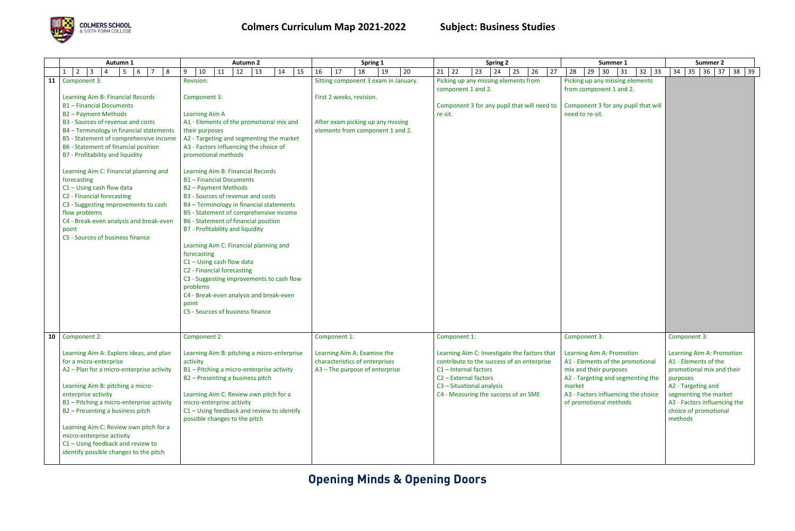## **Opening Minds & Opening Doors**



|                 | Autumn 1                                                                                                                                                                                                                                                                                                                                                                                                                                                                                                                                                                                    | <b>Autumn 2</b>                                                                                                                                                                                                                                                                                                                                                                                                                                                                                                                                                                                                                                                                                                                                                                                                | Spring 1                                                                                                                                  | <b>Spring 2</b>                                                                                                                                                                                                                                 | Summer 1                                                                                                                                                                                                                | <b>Summer 2</b>                                                                                                                                                                                                               |
|-----------------|---------------------------------------------------------------------------------------------------------------------------------------------------------------------------------------------------------------------------------------------------------------------------------------------------------------------------------------------------------------------------------------------------------------------------------------------------------------------------------------------------------------------------------------------------------------------------------------------|----------------------------------------------------------------------------------------------------------------------------------------------------------------------------------------------------------------------------------------------------------------------------------------------------------------------------------------------------------------------------------------------------------------------------------------------------------------------------------------------------------------------------------------------------------------------------------------------------------------------------------------------------------------------------------------------------------------------------------------------------------------------------------------------------------------|-------------------------------------------------------------------------------------------------------------------------------------------|-------------------------------------------------------------------------------------------------------------------------------------------------------------------------------------------------------------------------------------------------|-------------------------------------------------------------------------------------------------------------------------------------------------------------------------------------------------------------------------|-------------------------------------------------------------------------------------------------------------------------------------------------------------------------------------------------------------------------------|
|                 | $1 \mid 2$<br>$\vert$ 3<br>$6 \mid 7$<br>8<br>5<br>4                                                                                                                                                                                                                                                                                                                                                                                                                                                                                                                                        | 10<br>11<br>12<br>13<br>$14 \mid 15$<br>9                                                                                                                                                                                                                                                                                                                                                                                                                                                                                                                                                                                                                                                                                                                                                                      | 16<br>17<br>18<br>19<br>20                                                                                                                | 23<br>24<br>$21 \mid 22$<br>25<br>26<br>27                                                                                                                                                                                                      | $29 \mid 30$<br>$32 \mid 33$<br>28<br>31                                                                                                                                                                                | $34$ 35 36 37<br>$38 \mid 39$                                                                                                                                                                                                 |
|                 | 11 Component 3:<br>Learning Aim B: Financial Records<br><b>B1-Financial Documents</b><br>B2 - Payment Methods<br>B3 - Sources of revenue and costs<br>B4 - Terminology in financial statements<br>B5 - Statement of comprehensive income<br>B6 - Statement of financial position<br>B7 - Profitability and liquidity<br>Learning Aim C: Financial planning and<br>forecasting<br>$C1 - Using cash flow data$<br>C2 - Financial forecasting<br>C3 - Suggesting improvements to cash<br>flow problems<br>C4 - Break-even analysis and break-even<br>point<br>C5 - Sources of business finance | Revision:<br>Component 3:<br><b>Learning Aim A</b><br>A1 - Elements of the promotional mix and<br>their purposes<br>A2 - Targeting and segmenting the market<br>A3 - Factors influencing the choice of<br>promotional methods<br>Learning Aim B: Financial Records<br><b>B1-Financial Documents</b><br><b>B2-Payment Methods</b><br>B3 - Sources of revenue and costs<br>B4 - Terminology in financial statements<br>B5 - Statement of comprehensive income<br>B6 - Statement of financial position<br>B7 - Profitability and liquidity<br>Learning Aim C: Financial planning and<br>forecasting<br>$C1 - Using cash flow data$<br>C2 - Financial forecasting<br>C3 - Suggesting improvements to cash flow<br>problems<br>C4 - Break-even analysis and break-even<br>point<br>C5 - Sources of business finance | Sitting component 3 exam in January.<br>First 2 weeks, revision.<br>After exam picking up any missing<br>elements from component 1 and 2. | Picking up any missing elements from<br>component 1 and 2.<br>Component 3 for any pupil that will need to<br>re-sit.                                                                                                                            | Picking up any missing elements<br>from component 1 and 2.<br>Component 3 for any pupil that will<br>need to re-sit.                                                                                                    |                                                                                                                                                                                                                               |
| 10 <sup>1</sup> | Component 2:<br>Learning Aim A: Explore ideas, and plan<br>for a micro-enterprise<br>A2 - Plan for a micro-enterprise activity<br>Learning Aim B: pitching a micro-<br>enterprise activity<br>B1 - Pitching a micro-enterprise activity<br>B2 - Presenting a business pitch<br>Learning Aim C: Review own pitch for a<br>micro-enterprise activity<br>$C1 - Using feedback and review to$<br>identify possible changes to the pitch                                                                                                                                                         | Component 2:<br>Learning Aim B: pitching a micro-enterprise<br>activity<br>B1 - Pitching a micro-enterprise activity<br>B2 - Presenting a business pitch<br>Learning Aim C: Review own pitch for a<br>micro-enterprise activity<br>C1 - Using feedback and review to identify<br>possible changes to the pitch                                                                                                                                                                                                                                                                                                                                                                                                                                                                                                 | Component 1:<br>Learning Aim A: Examine the<br>characteristics of enterprises<br>A3 - The purpose of enterprise                           | Component 1:<br>Learning Aim C: Investigate the factors that<br>contribute to the success of an enterprise<br>$C1$ – Internal factors<br>C <sub>2</sub> - External factors<br>C3 - Situational analysis<br>C4 - Measuring the success of an SME | Component 3:<br>Learning Aim A: Promotion<br>A1 - Elements of the promotional<br>mix and their purposes<br>A2 - Targeting and segmenting the<br>market<br>A3 - Factors influencing the choice<br>of promotional methods | Component 3:<br>Learning Aim A: Promotion<br>A1 - Elements of the<br>promotional mix and their<br>purposes<br>A2 - Targeting and<br>segmenting the market<br>A3 - Factors influencing the<br>choice of promotional<br>methods |